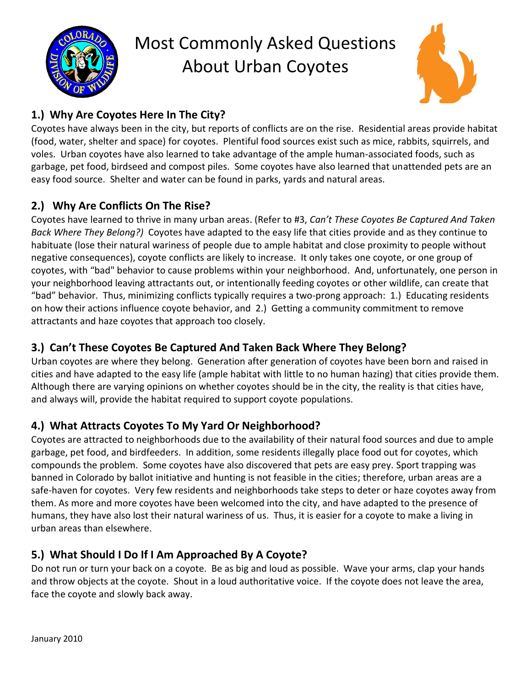

# Most Commonly Asked Questions About Urban Coyotes



## **1.) Why Are Coyotes Here In The City?**

Coyotes have always been in the city, but reports of conflicts are on the rise. Residential areas provide habitat (food, water, shelter and space) for coyotes. Plentiful food sources exist such as mice, rabbits, squirrels, and voles. Urban coyotes have also learned to take advantage of the ample human-associated foods, such as garbage, pet food, birdseed and compost piles. Some coyotes have also learned that unattended pets are an easy food source. Shelter and water can be found in parks, yards and natural areas.

## **2.) Why Are Conflicts On The Rise?**

Coyotes have learned to thrive in many urban areas. (Refer to #3, *Can't These Coyotes Be Captured And Taken Back Where They Belong?)* Coyotes have adapted to the easy life that cities provide and as they continue to habituate (lose their natural wariness of people due to ample habitat and close proximity to people without negative consequences), coyote conflicts are likely to increase. It only takes one coyote, or one group of coyotes, with "bad" behavior to cause problems within your neighborhood. And, unfortunately, one person in your neighborhood leaving attractants out, or intentionally feeding coyotes or other wildlife, can create that "bad" behavior. Thus, minimizing conflicts typically requires a two-prong approach: 1.) Educating residents on how their actions influence coyote behavior, and 2.) Getting a community commitment to remove attractants and haze coyotes that approach too closely.

## **3.) Can't These Coyotes Be Captured And Taken Back Where They Belong?**

Urban coyotes are where they belong. Generation after generation of coyotes have been born and raised in cities and have adapted to the easy life (ample habitat with little to no human hazing) that cities provide them. Although there are varying opinions on whether coyotes should be in the city, the reality is that cities have, and always will, provide the habitat required to support coyote populations.

### **4.) What Attracts Coyotes To My Yard Or Neighborhood?**

Coyotes are attracted to neighborhoods due to the availability of their natural food sources and due to ample garbage, pet food, and birdfeeders. In addition, some residents illegally place food out for coyotes, which compounds the problem. Some coyotes have also discovered that pets are easy prey. Sport trapping was banned in Colorado by ballot initiative and hunting is not feasible in the cities; therefore, urban areas are a safe-haven for coyotes. Very few residents and neighborhoods take steps to deter or haze coyotes away from them. As more and more coyotes have been welcomed into the city, and have adapted to the presence of humans, they have also lost their natural wariness of us. Thus, it is easier for a coyote to make a living in urban areas than elsewhere.

### **5.) What Should I Do If I Am Approached By A Coyote?**

Do not run or turn your back on a coyote. Be as big and loud as possible. Wave your arms, clap your hands and throw objects at the coyote. Shout in a loud authoritative voice. If the coyote does not leave the area, face the coyote and slowly back away.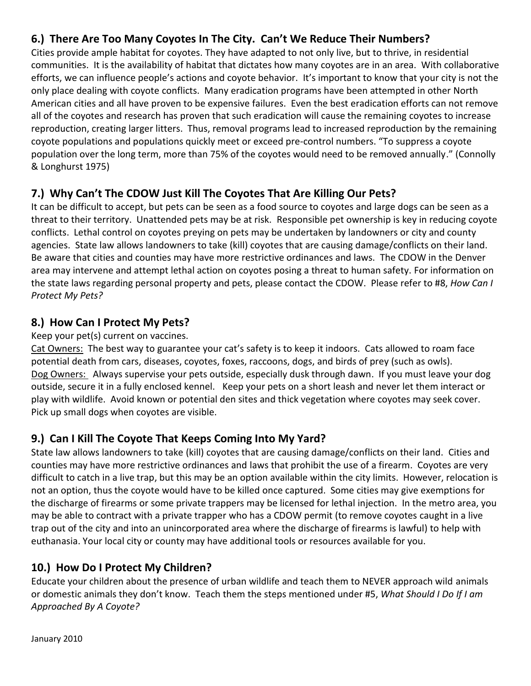#### **6.) There Are Too Many Coyotes In The City. Can't We Reduce Their Numbers?**

Cities provide ample habitat for coyotes. They have adapted to not only live, but to thrive, in residential communities. It is the availability of habitat that dictates how many coyotes are in an area. With collaborative efforts, we can influence people's actions and coyote behavior. It's important to know that your city is not the only place dealing with coyote conflicts. Many eradication programs have been attempted in other North American cities and all have proven to be expensive failures. Even the best eradication efforts can not remove all of the coyotes and research has proven that such eradication will cause the remaining coyotes to increase reproduction, creating larger litters. Thus, removal programs lead to increased reproduction by the remaining coyote populations and populations quickly meet or exceed pre-control numbers. "To suppress a coyote population over the long term, more than 75% of the coyotes would need to be removed annually." (Connolly & Longhurst 1975)

#### **7.) Why Can't The CDOW Just Kill The Coyotes That Are Killing Our Pets?**

It can be difficult to accept, but pets can be seen as a food source to coyotes and large dogs can be seen as a threat to their territory. Unattended pets may be at risk. Responsible pet ownership is key in reducing coyote conflicts. Lethal control on coyotes preying on pets may be undertaken by landowners or city and county agencies. State law allows landowners to take (kill) coyotes that are causing damage/conflicts on their land. Be aware that cities and counties may have more restrictive ordinances and laws. The CDOW in the Denver area may intervene and attempt lethal action on coyotes posing a threat to human safety. For information on the state laws regarding personal property and pets, please contact the CDOW. Please refer to #8, *How Can I Protect My Pets?*

#### **8.) How Can I Protect My Pets?**

#### Keep your pet(s) current on vaccines.

Cat Owners: The best way to guarantee your cat's safety is to keep it indoors. Cats allowed to roam face potential death from cars, diseases, coyotes, foxes, raccoons, dogs, and birds of prey (such as owls). Dog Owners: Always supervise your pets outside, especially dusk through dawn. If you must leave your dog outside, secure it in a fully enclosed kennel. Keep your pets on a short leash and never let them interact or play with wildlife. Avoid known or potential den sites and thick vegetation where coyotes may seek cover. Pick up small dogs when coyotes are visible.

#### **9.) Can I Kill The Coyote That Keeps Coming Into My Yard?**

State law allows landowners to take (kill) coyotes that are causing damage/conflicts on their land. Cities and counties may have more restrictive ordinances and laws that prohibit the use of a firearm. Coyotes are very difficult to catch in a live trap, but this may be an option available within the city limits. However, relocation is not an option, thus the coyote would have to be killed once captured. Some cities may give exemptions for the discharge of firearms or some private trappers may be licensed for lethal injection. In the metro area, you may be able to contract with a private trapper who has a CDOW permit (to remove coyotes caught in a live trap out of the city and into an unincorporated area where the discharge of firearms is lawful) to help with euthanasia. Your local city or county may have additional tools or resources available for you.

#### **10.) How Do I Protect My Children?**

Educate your children about the presence of urban wildlife and teach them to NEVER approach wild animals or domestic animals they don't know. Teach them the steps mentioned under #5, *What Should I Do If I am Approached By A Coyote?*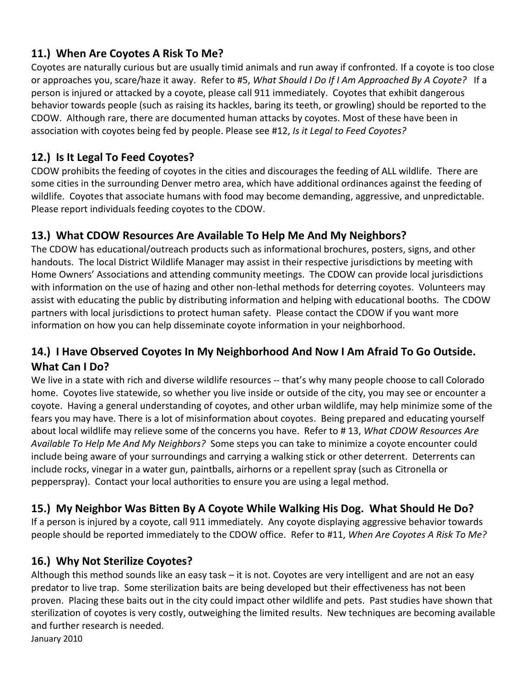#### **11.) When Are Coyotes A Risk To Me?**

Coyotes are naturally curious but are usually timid animals and run away if confronted. If a coyote is too close or approaches you, scare/haze it away. Refer to #5, *What Should I Do If I Am Approached By A Coyote?* If a person is injured or attacked by a coyote, please call 911 immediately. Coyotes that exhibit dangerous behavior towards people (such as raising its hackles, baring its teeth, or growling) should be reported to the CDOW. Although rare, there are documented human attacks by coyotes. Most of these have been in association with coyotes being fed by people. Please see #12, *Is it Legal to Feed Coyotes?*

#### **12.) Is It Legal To Feed Coyotes?**

CDOW prohibits the feeding of coyotes in the cities and discourages the feeding of ALL wildlife. There are some cities in the surrounding Denver metro area, which have additional ordinances against the feeding of wildlife. Coyotes that associate humans with food may become demanding, aggressive, and unpredictable. Please report individuals feeding coyotes to the CDOW.

#### **13.) What CDOW Resources Are Available To Help Me And My Neighbors?**

The CDOW has educational/outreach products such as informational brochures, posters, signs, and other handouts. The local District Wildlife Manager may assist in their respective jurisdictions by meeting with Home Owners' Associations and attending community meetings. The CDOW can provide local jurisdictions with information on the use of hazing and other non-lethal methods for deterring coyotes. Volunteers may assist with educating the public by distributing information and helping with educational booths. The CDOW partners with local jurisdictions to protect human safety. Please contact the CDOW if you want more information on how you can help disseminate coyote information in your neighborhood.

#### **14.) I Have Observed Coyotes In My Neighborhood And Now I Am Afraid To Go Outside. What Can I Do?**

We live in a state with rich and diverse wildlife resources -- that's why many people choose to call Colorado home. Coyotes live statewide, so whether you live inside or outside of the city, you may see or encounter a coyote. Having a general understanding of coyotes, and other urban wildlife, may help minimize some of the fears you may have. There is a lot of misinformation about coyotes. Being prepared and educating yourself about local wildlife may relieve some of the concerns you have. Refer to # 13, *What CDOW Resources Are Available To Help Me And My Neighbors?* Some steps you can take to minimize a coyote encounter could include being aware of your surroundings and carrying a walking stick or other deterrent. Deterrents can include rocks, vinegar in a water gun, paintballs, airhorns or a repellent spray (such as Citronella or pepperspray). Contact your local authorities to ensure you are using a legal method.

#### **15.) My Neighbor Was Bitten By A Coyote While Walking His Dog. What Should He Do?**

If a person is injured by a coyote, call 911 immediately. Any coyote displaying aggressive behavior towards people should be reported immediately to the CDOW office. Refer to #11, *When Are Coyotes A Risk To Me?* 

#### **16.) Why Not Sterilize Coyotes?**

Although this method sounds like an easy task – it is not. Coyotes are very intelligent and are not an easy predator to live trap. Some sterilization baits are being developed but their effectiveness has not been proven. Placing these baits out in the city could impact other wildlife and pets. Past studies have shown that sterilization of coyotes is very costly, outweighing the limited results. New techniques are becoming available and further research is needed.

January 2010